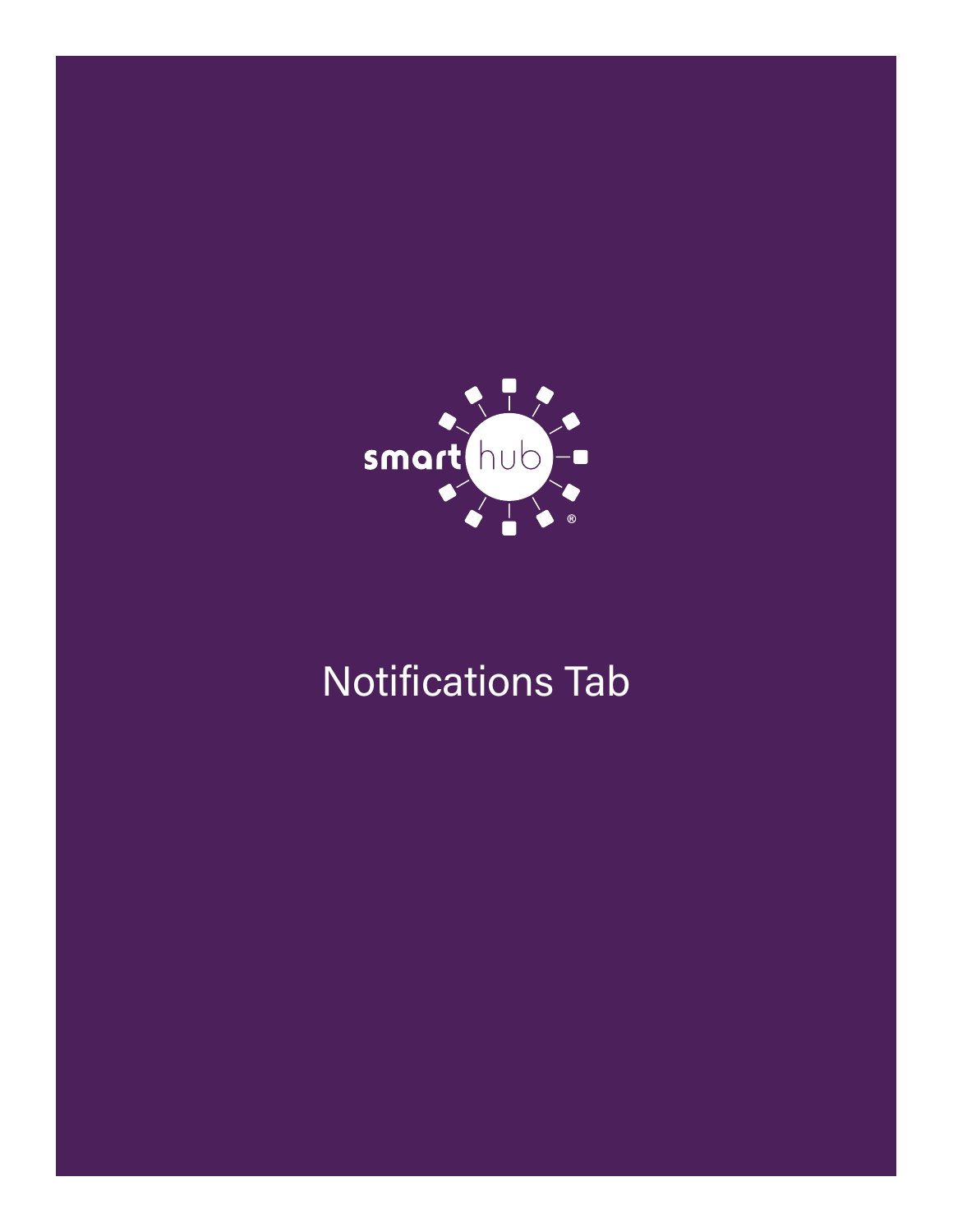

# Notifications Tab